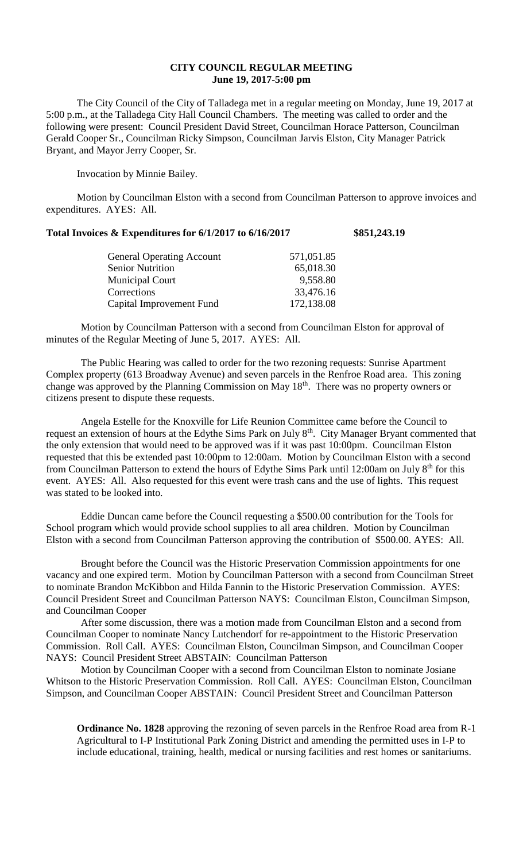## **CITY COUNCIL REGULAR MEETING June 19, 2017-5:00 pm**

The City Council of the City of Talladega met in a regular meeting on Monday, June 19, 2017 at 5:00 p.m., at the Talladega City Hall Council Chambers. The meeting was called to order and the following were present: Council President David Street, Councilman Horace Patterson, Councilman Gerald Cooper Sr., Councilman Ricky Simpson, Councilman Jarvis Elston, City Manager Patrick Bryant, and Mayor Jerry Cooper, Sr.

Invocation by Minnie Bailey.

Motion by Councilman Elston with a second from Councilman Patterson to approve invoices and expenditures. AYES: All.

|  |  |  | Total Invoices & Expenditures for 6/1/2017 to 6/16/2017 | \$851,243.19 |
|--|--|--|---------------------------------------------------------|--------------|
|--|--|--|---------------------------------------------------------|--------------|

| <b>General Operating Account</b> | 571,051.85 |
|----------------------------------|------------|
| <b>Senior Nutrition</b>          | 65,018.30  |
| <b>Municipal Court</b>           | 9,558.80   |
| Corrections                      | 33,476.16  |
| Capital Improvement Fund         | 172,138.08 |

Motion by Councilman Patterson with a second from Councilman Elston for approval of minutes of the Regular Meeting of June 5, 2017. AYES: All.

The Public Hearing was called to order for the two rezoning requests: Sunrise Apartment Complex property (613 Broadway Avenue) and seven parcels in the Renfroe Road area. This zoning change was approved by the Planning Commission on May 18th. There was no property owners or citizens present to dispute these requests.

Angela Estelle for the Knoxville for Life Reunion Committee came before the Council to request an extension of hours at the Edythe Sims Park on July 8<sup>th</sup>. City Manager Bryant commented that the only extension that would need to be approved was if it was past 10:00pm. Councilman Elston requested that this be extended past 10:00pm to 12:00am. Motion by Councilman Elston with a second from Councilman Patterson to extend the hours of Edythe Sims Park until 12:00am on July 8<sup>th</sup> for this event. AYES: All. Also requested for this event were trash cans and the use of lights. This request was stated to be looked into.

Eddie Duncan came before the Council requesting a \$500.00 contribution for the Tools for School program which would provide school supplies to all area children. Motion by Councilman Elston with a second from Councilman Patterson approving the contribution of \$500.00. AYES: All.

Brought before the Council was the Historic Preservation Commission appointments for one vacancy and one expired term. Motion by Councilman Patterson with a second from Councilman Street to nominate Brandon McKibbon and Hilda Fannin to the Historic Preservation Commission. AYES: Council President Street and Councilman Patterson NAYS: Councilman Elston, Councilman Simpson, and Councilman Cooper

After some discussion, there was a motion made from Councilman Elston and a second from Councilman Cooper to nominate Nancy Lutchendorf for re-appointment to the Historic Preservation Commission. Roll Call. AYES: Councilman Elston, Councilman Simpson, and Councilman Cooper NAYS: Council President Street ABSTAIN: Councilman Patterson

Motion by Councilman Cooper with a second from Councilman Elston to nominate Josiane Whitson to the Historic Preservation Commission. Roll Call. AYES: Councilman Elston, Councilman Simpson, and Councilman Cooper ABSTAIN: Council President Street and Councilman Patterson

**Ordinance No. 1828** approving the rezoning of seven parcels in the Renfroe Road area from R-1 Agricultural to I-P Institutional Park Zoning District and amending the permitted uses in I-P to include educational, training, health, medical or nursing facilities and rest homes or sanitariums.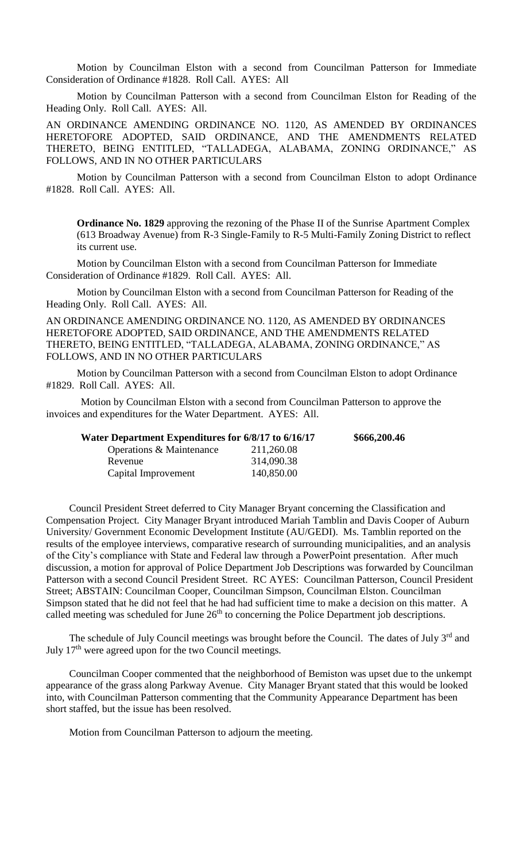Motion by Councilman Elston with a second from Councilman Patterson for Immediate Consideration of Ordinance #1828. Roll Call. AYES: All

Motion by Councilman Patterson with a second from Councilman Elston for Reading of the Heading Only. Roll Call. AYES: All.

AN ORDINANCE AMENDING ORDINANCE NO. 1120, AS AMENDED BY ORDINANCES HERETOFORE ADOPTED, SAID ORDINANCE, AND THE AMENDMENTS RELATED THERETO, BEING ENTITLED, "TALLADEGA, ALABAMA, ZONING ORDINANCE," AS FOLLOWS, AND IN NO OTHER PARTICULARS

Motion by Councilman Patterson with a second from Councilman Elston to adopt Ordinance #1828. Roll Call. AYES: All.

**Ordinance No. 1829** approving the rezoning of the Phase II of the Sunrise Apartment Complex (613 Broadway Avenue) from R-3 Single-Family to R-5 Multi-Family Zoning District to reflect its current use.

Motion by Councilman Elston with a second from Councilman Patterson for Immediate Consideration of Ordinance #1829. Roll Call. AYES: All.

Motion by Councilman Elston with a second from Councilman Patterson for Reading of the Heading Only. Roll Call. AYES: All.

AN ORDINANCE AMENDING ORDINANCE NO. 1120, AS AMENDED BY ORDINANCES HERETOFORE ADOPTED, SAID ORDINANCE, AND THE AMENDMENTS RELATED THERETO, BEING ENTITLED, "TALLADEGA, ALABAMA, ZONING ORDINANCE," AS FOLLOWS, AND IN NO OTHER PARTICULARS

Motion by Councilman Patterson with a second from Councilman Elston to adopt Ordinance #1829. Roll Call. AYES: All.

Motion by Councilman Elston with a second from Councilman Patterson to approve the invoices and expenditures for the Water Department. AYES: All.

| Water Department Expenditures for 6/8/17 to 6/16/17 | \$666,200.46 |  |
|-----------------------------------------------------|--------------|--|
| Operations & Maintenance                            | 211,260.08   |  |
| Revenue                                             | 314,090.38   |  |
| Capital Improvement                                 | 140,850.00   |  |

Council President Street deferred to City Manager Bryant concerning the Classification and Compensation Project. City Manager Bryant introduced Mariah Tamblin and Davis Cooper of Auburn University/ Government Economic Development Institute (AU/GEDI). Ms. Tamblin reported on the results of the employee interviews, comparative research of surrounding municipalities, and an analysis of the City's compliance with State and Federal law through a PowerPoint presentation. After much discussion, a motion for approval of Police Department Job Descriptions was forwarded by Councilman Patterson with a second Council President Street. RC AYES: Councilman Patterson, Council President Street; ABSTAIN: Councilman Cooper, Councilman Simpson, Councilman Elston. Councilman Simpson stated that he did not feel that he had had sufficient time to make a decision on this matter. A called meeting was scheduled for June  $26<sup>th</sup>$  to concerning the Police Department job descriptions.

The schedule of July Council meetings was brought before the Council. The dates of July 3<sup>rd</sup> and July  $17<sup>th</sup>$  were agreed upon for the two Council meetings.

Councilman Cooper commented that the neighborhood of Bemiston was upset due to the unkempt appearance of the grass along Parkway Avenue. City Manager Bryant stated that this would be looked into, with Councilman Patterson commenting that the Community Appearance Department has been short staffed, but the issue has been resolved.

Motion from Councilman Patterson to adjourn the meeting.